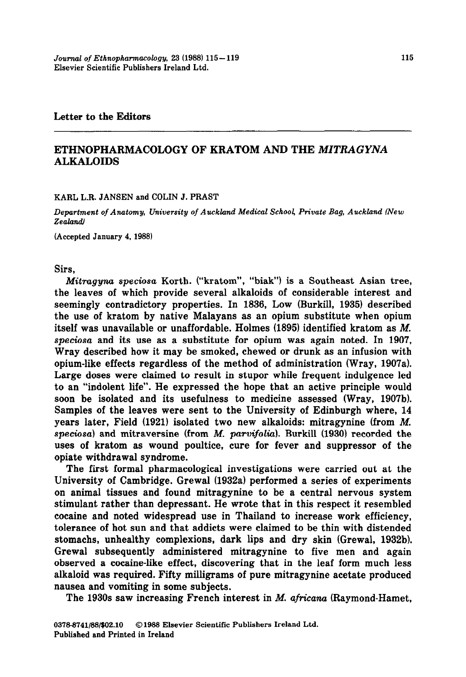## Letter to the Editors

## ETHNOPHARMACOLOGY OF KRATOM AND THE *MITRAGYNA*  ALKALOIDS

**KARL L.R. JANSEN and COLIN J. PRAST** 

**Department** *of* **Anatomy,** *University of* **Auckland** *Medical School, Private Bag, Aucklund (New Zealandl* 

**(Accepted January 4, 1988)** 

sirs,

Mitragyna speciosa Korth. ("kratom", "biak") is a Southeast Asian tree, the leaves of which provide several alkaloids of considerable interest and seemingly contradictory properties. In 1836, Low (Burkill, 1935) described the use of kratom by native Malayans as an opium substitute when opium itself was unavailable or unaffordable. Holmes (1895) identified kratom as *M*. *speciosa* and its use as a substitute for opium was again noted. In 1907, Wray described how it may be smoked, chewed or drunk as an infusion with opium-like effects regardless of the method of administration (Wray, 1907al. Large doses were claimed to result in stupor while frequent indulgence led to an "indolent life". He expressed the hope that an active principle would soon be isolated and its usefulness to medicine assessed (Wray, 1907bl. Samples of the leaves were sent to the University of Edinburgh where, 14 years later, Field (1921) isolated two new alkaloids: mitragynine (from *M*. speciosa) and mitraversine (from *M. parvifolia*). Burkill (1930) recorded the uses of kratom as wound poultice, cure for fever and suppressor of the opiate withdrawal syndrome.

The first formal pharmacological investigations were carried out at the University of Cambridge. Grewal (1932a) performed a series of experiments on animal tissues and found mitragynine to be a central nervous system stimulant rather than depressant. He wrote that in this respect it resembled cocaine and noted widespread use in Thailand to increase work efficiency, tolerance of hot sun and that addicts were claimed to be thin with distended stomachs, unhealthy complexions, dark lips and dry skin (Grewal, 1932b). Grewal subsequently administered mitragynine to five men and again observed a cocaine-like effect, discovering that in the leaf form much less alkaloid was required. Fifty milligrams of pure mitragynine acetate produced nausea and vomiting in some subjects.

The 1930s saw increasing French interest in *M. africana* (Raymond-Hamet,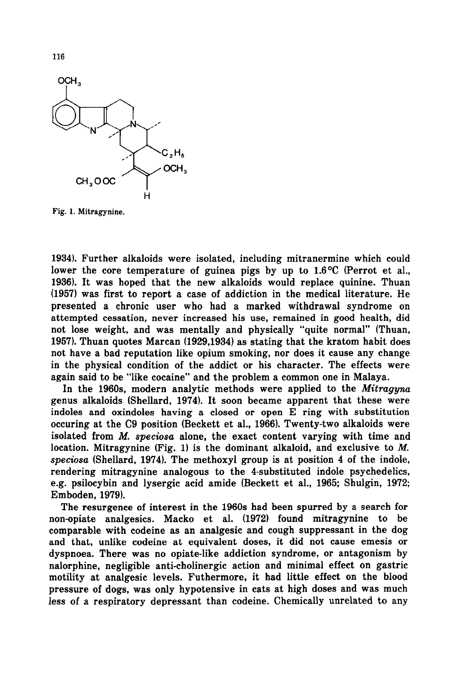

**Fig. 1. Mitragynine.** 

1934). Further alkaloids were isolated, including mitranermine which could lower the core temperature of guinea pigs by up to  $1.6\,^{\circ}\text{C}$  (Perrot et al., 1936). It was hoped that the new alkaloids would replace quinine. Thuan (1957) was first to report a case of addiction in the medical literature. He presented a chronic user who had a marked withdrawal syndrome on attempted cessation, never increased his use, remained in good health, did not lose weight, and was mentally and physically "quite normal" (Thuan, 1957). Thuan quotes Marcan (1929,1934) as stating that the kratom habit does not have a bad reputation like opium smoking, nor does it cause any change in the physical condition of the addict or his character. The effects were again said to be "like cocaine" and the problem a common one in Malaya.

In the 196Os, modern analytic methods were applied to the *Mitragyna*  genus alkaloids (Shellard, 1974). It soon became apparent that these were indoles and oxindoles having a closed or open E ring with substitution occuring at the C9 position (Beckett et al., 1966). Twenty-two alkaloids were isolated from *M. speciosa* alone, the exact content varying with time and location. Mitragynine (Fig. 1) is the dominant alkaloid, and exclusive to M. speciosa (Shellard, 1974). The methoxyl group is at position 4 of the indole, rendering mitragynine analogous to the 4-substituted indole psychedelics, e.g. psilocybin and lysergic acid amide (Beckett et al., 1965; Shulgin, 1972; Emboden, 1979).

The resurgence of interest in the 1960s had been spurred by a search for non-opiate analgesics. Macko et al.  $(1972)$  found mitragynine to be comparable with codeine as an analgesic and cough suppressant in the dog and that. unlike codeine at equivalent doses, it did not cause emesis or dyspnoea. There was no opiate-like addiction syndrome, or antagonism by nalorphine, negligible anti-cholinergic action and minimal effect on gastric motility at analgesic levels. Futhermore, it had little effect on the blood pressure of dogs, was only hypotensive in cats at high doses and was much less of a respiratory depressant than codeine. Chemically unrelated to any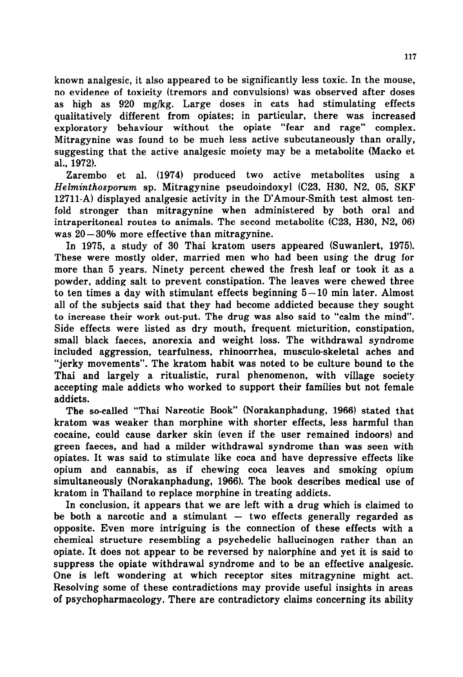known analgesic, it also appeared to be significantly less toxic. In the mouse, no evidence of toxicity (tremors and convulsions) was observed after doses as high as 920 mg/kg. Large doses in cats had stimulating effects qualitatively different from opiates: in particular, there was increased exploratory behaviour without the opiate "fear and rage" complex. Mitragynine was found to be much less active subcutaneously than orally, suggesting that the active analgesic moiety may be a metabolite (Macko et al., 1972).

Zarembo et al. (1974) produced two active metabolites using a *Helminthosporum* sp. Mitragynine pseudoindoxyl (C23, H30, N2, 05, SKF 12711-A) displayed analgesic activity in the D'Amour-Smith test almost tenfold stronger than mitragynine when administered by both oral and intraperitoneal routes to animals. The second metabolite  $(C23, H30, N2, 06)$ was  $20-30%$  more effective than mitragynine.

In 1975, a study of 30 Thai kratom users appeared (Suwanlert, 1975). These were mostly older, married men who had been using the drug for more than 5 years. Ninety percent chewed the fresh leaf or took it as a powder, adding salt to prevent constipation. The leaves were chewed three to ten times a day with stimulant effects beginning  $5-10$  min later. Almost all of the subjects said that they had become addicted because they sought to increase their work out-put. The drug was also said to "calm the mind". Side effects were listed as dry mouth, frequent micturition, constipation, small black faeces, anorexia and weight loss. The withdrawal syndrome included aggression, tearfulness, rhinoorrhea, musculo-skeletal aches and "jerky movements". The kratom habit was noted to be culture bound to the Thai and largely a ritualistic, rural phenomenon, with village society accepting male addicts who worked to support their families but not female addicts.

The so-called "Thai Narcotic Book" (Norakanphadung, 1966) stated that kratom was weaker than morphine with shorter effects, less harmful than cocaine, could cause darker skin (even if the user remained indoors) and green faeces, and had a milder withdrawal syndrome than was seen with opiates. It was said to stimulate like coca and have depressive effects like opium and cannabis, as if chewing coca leaves and smoking opium simultaneously (Norakanphadung, 1966). The book describes medical use of kratom in Thailand to replace morphine in treating addicts.

In conclusion, it appears that we are left with a drug which is claimed to be both a narcotic and a stimulant  $-$  two effects generally regarded as opposite. Even more intriguing is the connection of these effects with a chemical structure resembling a psychedelic hallucinogen rather than an opiate. It does not appear to be reversed by nalorphine and yet it is said to suppress the opiate withdrawal syndrome and to be an effective analgesic. One is left wondering at which receptor sites mitragynine might act. Resolving some of these contradictions may provide useful insights in areas of psychopharmacology. There are contradictory claims concerning its ability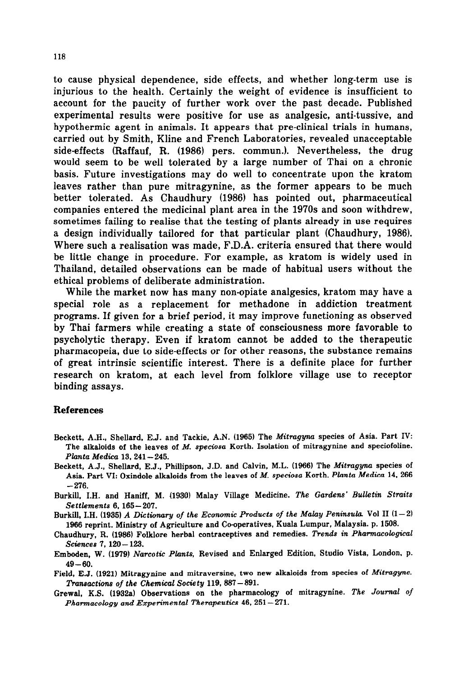to cause physical dependence, side effects, and whether long-term use is injurious to the health. Certainly the weight of evidence is insufficient to account for the paucity of further work over the past decade. Published experimental results were positive for use as analgesic, anti-tussive, and hypothermic agent in animals. It appears that pre-clinical trials in humans, carried out by Smith, Kline and French Laboratories, revealed unacceptable side-effects (Raffauf, R. (1986) pers. commun.). Nevertheless, the drug would seem to be well tolerated by a large number of Thai on a chronic basis. Future investigations may do well to concentrate upon the kratom leaves rather than pure mitragynine, as the former appears to be much better tolerated. As Chaudhury (1986) has pointed out, pharmaceutical companies entered the medicinal plant area in the 1970s and soon withdrew, sometimes failing to realise that the testing of plants already in use requires a design individually tailored for that particular plant (Chaudhury, 1986). Where such a realisation was made, F.D.A. criteria ensured that there would be little change in procedure. For example, as kratom is widely used in Thailand, detailed observations can be made of habitual users without the ethical problems of deliberate administration.

While the market now has many non-opiate analgesics, kratom may have a special role as a replacement for methadone in addiction treatment programs. If given for a brief period, it may improve functioning as observed by Thai farmers while creating a state of consciousness more favorable to psycholytic therapy. Even if kratom cannot be added to the therapeutic pharmacopeia, due to side-effects or for other reasons, the substance remains of great intrinsic scientific interest. There is a definite place for further research on kratom, at each level from folklore village use to receptor binding assays.

## **References**

- Beckett, A.H., Shellard, E.J. and Tackie, A.N. (1965) The *Mitragyna* species of Asia. Part IV: **The alkaloids of the leaves of M. speciosa Korth. Isolation of mitragynine and speciofoline. Plonta Mediccr 13,241- 245.**
- **Beckett, A.J., Shellard, E.J., Phillipson. J.D. and Calvin, M.L. (1966) The Mitragyna species of Asia. Part VI: Oxindole alkaloids from the leaves of** *M. speciosa* **Korth.** *Plunta Medica 14, 266 - 276.*
- Burkill, I.H. and Haniff, M. (1930) Malay Village Medicine. The Gardens' Bulletin Straits *Settlements 6,165- 207.*
- Burkill, I.H. (1935)  $\hat{A}$  Dictionary of the Economic Products of the Malay Peninsula. Vol II  $(1-2)$ **1966 reprint. Ministry of Agriculture and Cooperatives, Kuala Lumpur, Malaysia. p. 1508.**
- **Chaudhury, R. (19861 Folklore herbal contraceptives and remedies. Trends in** *Pharmacological Sciences 7. 120-* **123.**
- Emboden, W. (1979) *Narcotic Plants*, Revised and Enlarged Edition, Studio Vista, London, p. **49-60.**
- Field, E.J. (1921) Mitragynine and mitraversine, two new alkaloids from species of *Mitragyne*. *Tnmsactions of the Chemical Sockty* **119.887-891.**
- **Grewal. K.S. (1932a) Observations on the pharmacology of mitragynine.** *The Journul of Pharmacology and Experimental Therapeutics 46,251-271.*